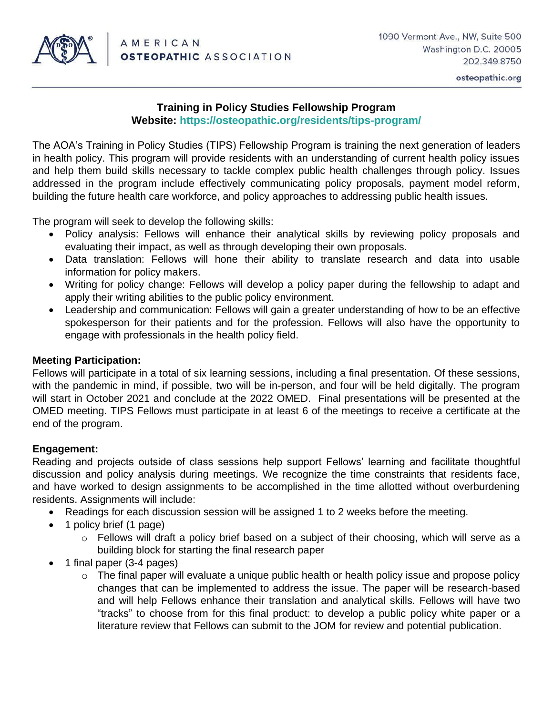

osteopathic.org

## **Training in Policy Studies Fellowship Program Website:<https://osteopathic.org/residents/tips-program/>**

The AOA's Training in Policy Studies (TIPS) Fellowship Program is training the next generation of leaders in health policy. This program will provide residents with an understanding of current health policy issues and help them build skills necessary to tackle complex public health challenges through policy. Issues addressed in the program include effectively communicating policy proposals, payment model reform, building the future health care workforce, and policy approaches to addressing public health issues.

The program will seek to develop the following skills:

- Policy analysis: Fellows will enhance their analytical skills by reviewing policy proposals and evaluating their impact, as well as through developing their own proposals.
- Data translation: Fellows will hone their ability to translate research and data into usable information for policy makers.
- Writing for policy change: Fellows will develop a policy paper during the fellowship to adapt and apply their writing abilities to the public policy environment.
- Leadership and communication: Fellows will gain a greater understanding of how to be an effective spokesperson for their patients and for the profession. Fellows will also have the opportunity to engage with professionals in the health policy field.

## **Meeting Participation:**

Fellows will participate in a total of six learning sessions, including a final presentation. Of these sessions, with the pandemic in mind, if possible, two will be in-person, and four will be held digitally. The program will start in October 2021 and conclude at the 2022 OMED. Final presentations will be presented at the OMED meeting. TIPS Fellows must participate in at least 6 of the meetings to receive a certificate at the end of the program.

## **Engagement:**

Reading and projects outside of class sessions help support Fellows' learning and facilitate thoughtful discussion and policy analysis during meetings. We recognize the time constraints that residents face, and have worked to design assignments to be accomplished in the time allotted without overburdening residents. Assignments will include:

- Readings for each discussion session will be assigned 1 to 2 weeks before the meeting.
- 1 policy brief (1 page)
	- $\circ$  Fellows will draft a policy brief based on a subject of their choosing, which will serve as a building block for starting the final research paper
- 1 final paper (3-4 pages)
	- o The final paper will evaluate a unique public health or health policy issue and propose policy changes that can be implemented to address the issue. The paper will be research-based and will help Fellows enhance their translation and analytical skills. Fellows will have two "tracks" to choose from for this final product: to develop a public policy white paper or a literature review that Fellows can submit to the JOM for review and potential publication.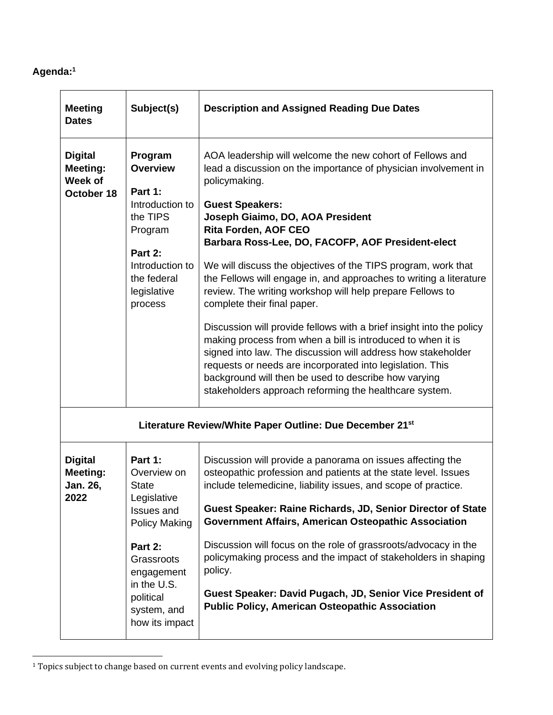## **Agenda:<sup>1</sup>**

| <b>Meeting</b><br><b>Dates</b>                             | Subject(s)                                                                                                                                                                                             | <b>Description and Assigned Reading Due Dates</b>                                                                                                                                                                                                                                                                                                                                                                                                                                                                                                                                                                                                                                                                                                                                                                                                                                                                        |  |  |  |
|------------------------------------------------------------|--------------------------------------------------------------------------------------------------------------------------------------------------------------------------------------------------------|--------------------------------------------------------------------------------------------------------------------------------------------------------------------------------------------------------------------------------------------------------------------------------------------------------------------------------------------------------------------------------------------------------------------------------------------------------------------------------------------------------------------------------------------------------------------------------------------------------------------------------------------------------------------------------------------------------------------------------------------------------------------------------------------------------------------------------------------------------------------------------------------------------------------------|--|--|--|
| <b>Digital</b><br><b>Meeting:</b><br>Week of<br>October 18 | Program<br><b>Overview</b><br>Part 1:<br>Introduction to<br>the TIPS<br>Program<br>Part 2:<br>Introduction to<br>the federal<br>legislative<br>process                                                 | AOA leadership will welcome the new cohort of Fellows and<br>lead a discussion on the importance of physician involvement in<br>policymaking.<br><b>Guest Speakers:</b><br>Joseph Giaimo, DO, AOA President<br><b>Rita Forden, AOF CEO</b><br>Barbara Ross-Lee, DO, FACOFP, AOF President-elect<br>We will discuss the objectives of the TIPS program, work that<br>the Fellows will engage in, and approaches to writing a literature<br>review. The writing workshop will help prepare Fellows to<br>complete their final paper.<br>Discussion will provide fellows with a brief insight into the policy<br>making process from when a bill is introduced to when it is<br>signed into law. The discussion will address how stakeholder<br>requests or needs are incorporated into legislation. This<br>background will then be used to describe how varying<br>stakeholders approach reforming the healthcare system. |  |  |  |
| Literature Review/White Paper Outline: Due December 21st   |                                                                                                                                                                                                        |                                                                                                                                                                                                                                                                                                                                                                                                                                                                                                                                                                                                                                                                                                                                                                                                                                                                                                                          |  |  |  |
| <b>Digital</b><br><b>Meeting:</b><br>Jan. 26,<br>2022      | Part 1:<br>Overview on<br><b>State</b><br>Legislative<br><b>Issues and</b><br><b>Policy Making</b><br>Part 2:<br>Grassroots<br>engagement<br>in the U.S.<br>political<br>system, and<br>how its impact | Discussion will provide a panorama on issues affecting the<br>osteopathic profession and patients at the state level. Issues<br>include telemedicine, liability issues, and scope of practice.<br>Guest Speaker: Raine Richards, JD, Senior Director of State<br><b>Government Affairs, American Osteopathic Association</b><br>Discussion will focus on the role of grassroots/advocacy in the<br>policymaking process and the impact of stakeholders in shaping<br>policy.<br>Guest Speaker: David Pugach, JD, Senior Vice President of<br><b>Public Policy, American Osteopathic Association</b>                                                                                                                                                                                                                                                                                                                      |  |  |  |

<sup>&</sup>lt;sup>1</sup> Topics subject to change based on current events and evolving policy landscape.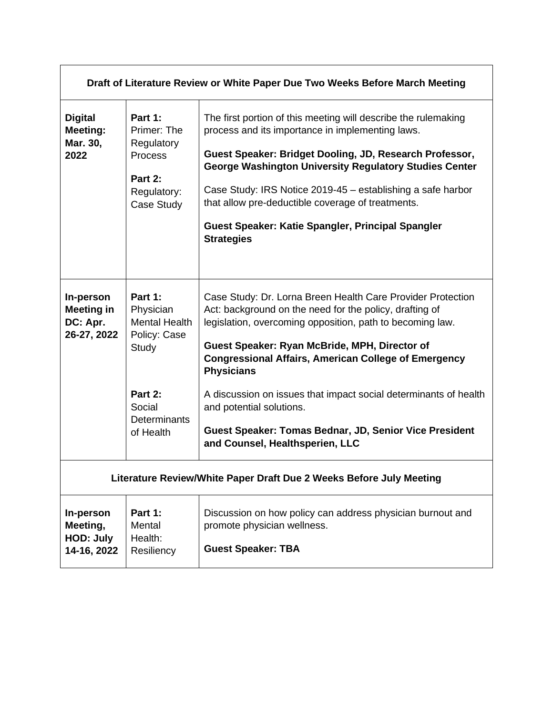| Draft of Literature Review or White Paper Due Two Weeks Before March Meeting |                                                                                                                                |                                                                                                                                                                                                                                                                                                                                                                                                                                                                                                                       |  |  |  |
|------------------------------------------------------------------------------|--------------------------------------------------------------------------------------------------------------------------------|-----------------------------------------------------------------------------------------------------------------------------------------------------------------------------------------------------------------------------------------------------------------------------------------------------------------------------------------------------------------------------------------------------------------------------------------------------------------------------------------------------------------------|--|--|--|
| <b>Digital</b><br>Meeting:<br>Mar. 30,<br>2022                               | Part 1:<br>Primer: The<br>Regulatory<br>Process<br>Part 2:<br>Regulatory:<br>Case Study                                        | The first portion of this meeting will describe the rulemaking<br>process and its importance in implementing laws.<br>Guest Speaker: Bridget Dooling, JD, Research Professor,<br><b>George Washington University Regulatory Studies Center</b><br>Case Study: IRS Notice 2019-45 – establishing a safe harbor<br>that allow pre-deductible coverage of treatments.<br>Guest Speaker: Katie Spangler, Principal Spangler<br><b>Strategies</b>                                                                          |  |  |  |
| In-person<br><b>Meeting in</b><br>DC: Apr.<br>26-27, 2022                    | Part 1:<br>Physician<br><b>Mental Health</b><br>Policy: Case<br>Study<br>Part 2:<br>Social<br><b>Determinants</b><br>of Health | Case Study: Dr. Lorna Breen Health Care Provider Protection<br>Act: background on the need for the policy, drafting of<br>legislation, overcoming opposition, path to becoming law.<br>Guest Speaker: Ryan McBride, MPH, Director of<br><b>Congressional Affairs, American College of Emergency</b><br><b>Physicians</b><br>A discussion on issues that impact social determinants of health<br>and potential solutions.<br>Guest Speaker: Tomas Bednar, JD, Senior Vice President<br>and Counsel, Healthsperien, LLC |  |  |  |
| Literature Review/White Paper Draft Due 2 Weeks Before July Meeting          |                                                                                                                                |                                                                                                                                                                                                                                                                                                                                                                                                                                                                                                                       |  |  |  |
| In-person<br>Meeting,<br><b>HOD: July</b><br>14-16, 2022                     | Part 1:<br>Mental<br>Health:<br>Resiliency                                                                                     | Discussion on how policy can address physician burnout and<br>promote physician wellness.<br><b>Guest Speaker: TBA</b>                                                                                                                                                                                                                                                                                                                                                                                                |  |  |  |